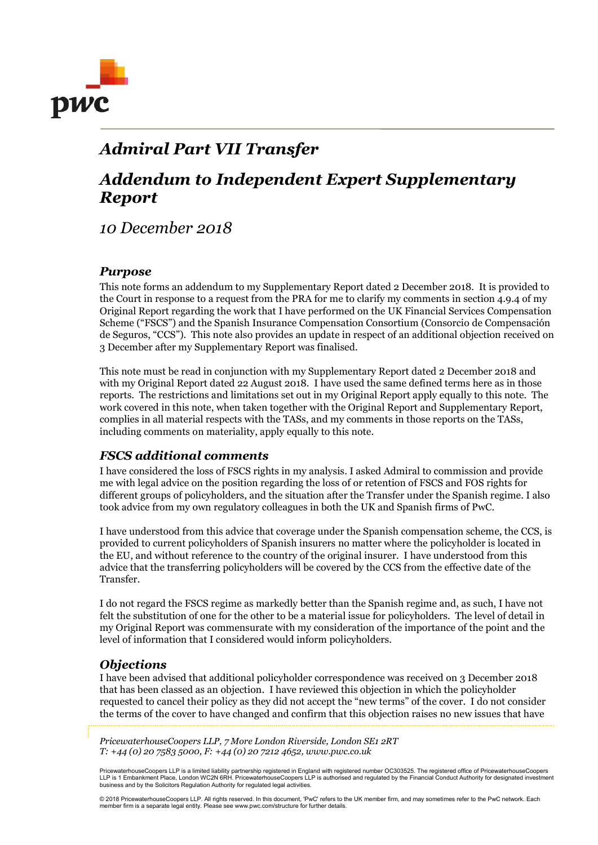

## Admiral Part VII Transfer

# Addendum to Independent Expert Supplementary Report

10 December 2018

#### Purpose

This note forms an addendum to my Supplementary Report dated 2 December 2018. It is provided to the Court in response to a request from the PRA for me to clarify my comments in section 4.9.4 of my Original Report regarding the work that I have performed on the UK Financial Services Compensation Scheme ("FSCS") and the Spanish Insurance Compensation Consortium (Consorcio de Compensación de Seguros, "CCS"). This note also provides an update in respect of an additional objection received on 3 December after my Supplementary Report was finalised.

This note must be read in conjunction with my Supplementary Report dated 2 December 2018 and with my Original Report dated 22 August 2018. I have used the same defined terms here as in those reports. The restrictions and limitations set out in my Original Report apply equally to this note. The work covered in this note, when taken together with the Original Report and Supplementary Report, complies in all material respects with the TASs, and my comments in those reports on the TASs, including comments on materiality, apply equally to this note.

### FSCS additional comments

I have considered the loss of FSCS rights in my analysis. I asked Admiral to commission and provide me with legal advice on the position regarding the loss of or retention of FSCS and FOS rights for different groups of policyholders, and the situation after the Transfer under the Spanish regime. I also took advice from my own regulatory colleagues in both the UK and Spanish firms of PwC.

I have understood from this advice that coverage under the Spanish compensation scheme, the CCS, is provided to current policyholders of Spanish insurers no matter where the policyholder is located in the EU, and without reference to the country of the original insurer. I have understood from this advice that the transferring policyholders will be covered by the CCS from the effective date of the Transfer.

I do not regard the FSCS regime as markedly better than the Spanish regime and, as such, I have not felt the substitution of one for the other to be a material issue for policyholders. The level of detail in my Original Report was commensurate with my consideration of the importance of the point and the level of information that I considered would inform policyholders.

#### **Objections**

I have been advised that additional policyholder correspondence was received on 3 December 2018 that has been classed as an objection. I have reviewed this objection in which the policyholder requested to cancel their policy as they did not accept the "new terms" of the cover. I do not consider the terms of the cover to have changed and confirm that this objection raises no new issues that have

PricewaterhouseCoopers LLP, 7 More London Riverside, London SE1 2RT T: +44 (0) 20 7583 5000, F: +44 (0) 20 7212 4652, www.pwc.co.uk

PricewaterhouseCoopers LLP is a limited liability partnership registered in England with registered number OC303525. The registered office of PricewaterhouseCoopers LLP is 1 Embankment Place, London WC2N 6RH. PricewaterhouseCoopers LLP is authorised and regulated by the Financial Conduct Authority for designated investment business and by the Solicitors Regulation Authority for regulated legal activities.

© 2018 PricewaterhouseCoopers LLP. All rights reserved. In this document, 'PwC' refers to the UK member firm, and may sometimes refer to the PwC network. Each member firm is a separate legal entity. Please see www.pwc.com/structure for further details.